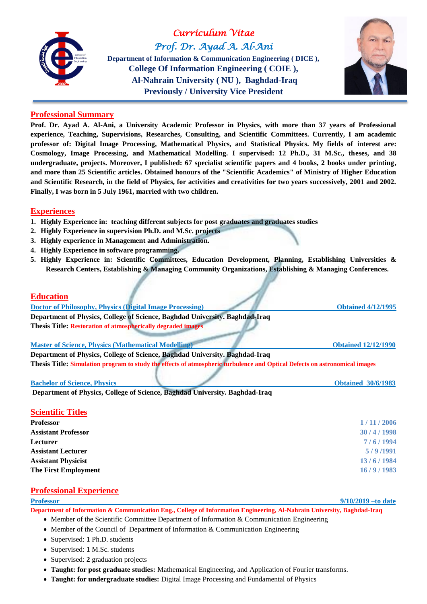

*Curriculum Vitae Prof. Dr. Ayad A. Al-Ani*  **Department of Information & Communication Engineering ( DICE ), College Of Information Engineering ( COIE ), Al-Nahrain University ( NU ), Baghdad-Iraq Previously / University Vice President**



### **Professional Summary**

**Prof. Dr. Ayad A. Al-Ani, a University Academic Professor in Physics, with more than 37 years of Professional experience, Teaching, Supervisions, Researches, Consulting, and Scientific Committees. Currently, I am academic professor of: Digital Image Processing, Mathematical Physics, and Statistical Physics. My fields of interest are: Cosmology, Image Processing, and Mathematical Modelling. I supervised: 12 Ph.D., 31 M.Sc., theses, and 38 undergraduate, projects. Moreover, I published: 67 specialist scientific papers and 4 books, 2 books under printing, and more than 25 Scientific articles. Obtained honours of the "Scientific Academics" of Ministry of Higher Education and Scientific Research, in the field of Physics, for activities and creativities for two years successively, 2001 and 2002. Finally, I was born in 5 July 1961, married with two children.**

## **Experiences**

- **1. Highly Experience in: teaching different subjects for post graduates and graduates studies**
- **2. Highly Experience in supervision Ph.D. and M.Sc. projects**
- **3. Highly experience in Management and Administration.**
- **4. Highly Experience in software programming.**
- **5. Highly Experience in: Scientific Committees, Education Development, Planning, Establishing Universities & Research Centers, Establishing & Managing Community Organizations, Establishing & Managing Conferences.**

# **Education Doctor of Philosophy, Physics (Digital Image Processing) Obtained 4/12/1995 Department of Physics, College of Science, Baghdad University. Baghdad-Iraq Thesis Title: Restoration of atmospherically degraded images Master of Science, Physics (Mathematical Modelling) Obtained 12/12/1990 Department of Physics, College of Science, Baghdad University. Baghdad-Iraq Thesis Title: Simulation program to study the effects of atmospheric turbulence and Optical Defects on astronomical images Bachelor of Science, Physics Obtained** 30/6/1983

**Department of Physics, College of Science, Baghdad University. Baghdad-Iraq**

### **Scientific Titles**

| <b>Professor</b>            | 1/11/2006 |
|-----------------------------|-----------|
| <b>Assistant Professor</b>  | 30/4/1998 |
| Lecturer                    | 7/6/1994  |
| <b>Assistant Lecturer</b>   | 5/9/1991  |
| <b>Assistant Physicist</b>  | 13/6/1984 |
| <b>The First Employment</b> | 16/9/1983 |
|                             |           |

# **Professional Experience**

**Professor 9/10/2019 –to date Department of Information & Communication Eng., College of Information Engineering, Al-Nahrain University, Baghdad-Iraq**

- Member of the Scientific Committee Department of Information & Communication Engineering
- Member of the Council of Department of Information & Communication Engineering
- Supervised: 1 Ph.D. students
- Supervised: 1 M.Sc. students
- Supervised: 2 graduation projects
- **Taught: for post graduate studies:** Mathematical Engineering, and Application of Fourier transforms.
- **Taught: for undergraduate studies:** Digital Image Processing and Fundamental of Physics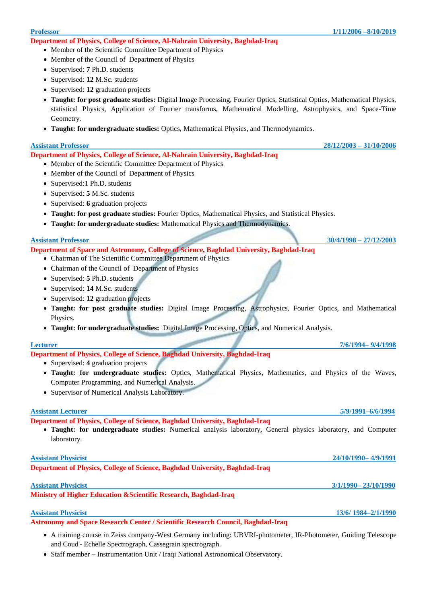**Department of Physics, College of Science, Al-Nahrain University, Baghdad-Iraq**

- Member of the Scientific Committee Department of Physics
- Member of the Council of Department of Physics
- Supervised: **7** Ph.D. students
- Supervised: **12** M.Sc. students
- Supervised: 12 graduation projects
- **Taught: for post graduate studies:** Digital Image Processing, Fourier Optics, Statistical Optics, Mathematical Physics, statistical Physics, Application of Fourier transforms, Mathematical Modelling, Astrophysics, and Space-Time Geometry.
- **Taught: for undergraduate studies:** Optics, Mathematical Physics, and Thermodynamics.

### **Assistant Professor 28/12/2003 – 31/10/2006**

**Department of Physics, College of Science, Al-Nahrain University, Baghdad-Iraq**

- Member of the Scientific Committee Department of Physics
- Member of the Council of Department of Physics
- Supervised:1 Ph.D. students
- Supervised: **5** M.Sc. students
- Supervised: **6** graduation projects
- **Taught: for post graduate studies:** Fourier Optics, Mathematical Physics, and Statistical Physics.
- **Taught: for undergraduate studies:** Mathematical Physics and Thermodynamics.

### **Assistant Professor 30/4/1998 – 27/12/2003**

**Department of Space and Astronomy, College of Science, Baghdad University, Baghdad-Iraq**

- Chairman of The Scientific Committee Department of Physics
- Chairman of the Council of Department of Physics
- Supervised: **5** Ph.D. students
- Supervised: **14** M.Sc. students
- Supervised: 12 graduation projects
- **Taught: for post graduate studies:** Digital Image Processing, Astrophysics, Fourier Optics, and Mathematical Physics.
- **Taught: for undergraduate studies:** Digital Image Processing, Optics, and Numerical Analysis.

**Department of Physics, College of Science, Baghdad University, Baghdad-Iraq**

- Supervised: **4** graduation projects
- **Taught: for undergraduate studies:** Optics, Mathematical Physics, Mathematics, and Physics of the Waves, Computer Programming, and Numerical Analysis.
- Supervisor of Numerical Analysis Laboratory.

### **Assistant Lecturer 5/9/1991–6/6/1994**

**Department of Physics, College of Science, Baghdad University, Baghdad-Iraq**

 **Taught: for undergraduate studies:** Numerical analysis laboratory, General physics laboratory, and Computer laboratory.

**Department of Physics, College of Science, Baghdad University, Baghdad-Iraq**

## **Ministry of Higher Education &Scientific Research, Baghdad-Iraq**

### **Assistant Physicist 13/6/ 1984–2/1/1990**

**Astronomy and Space Research Center / Scientific Research Council, Baghdad-Iraq**

- A training course in Zeiss company-West Germany including: UBVRI-photometer, IR-Photometer, Guiding Telescope and Coud'- Echelle Spectrograph, Cassegrain spectrograph.
- Staff member Instrumentation Unit / Iraqi National Astronomical Observatory.

### **Lecturer 7/6/1994– 9/4/1998**

**Assistant Physicist 24/10/1990– 4/9/1991**

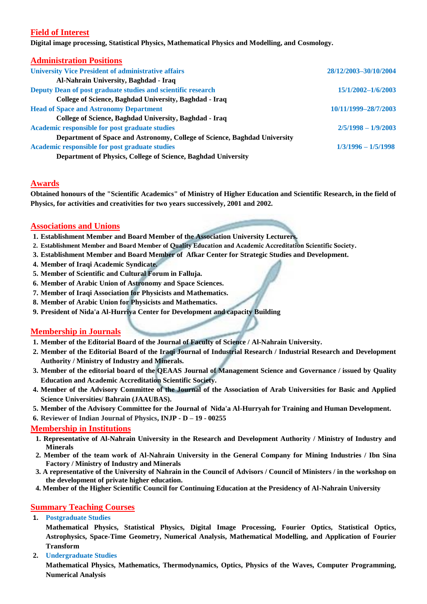# **Field of Interest**

**Digital image processing, Statistical Physics, Mathematical Physics and Modelling, and Cosmology.**

| <b>Administration Positions</b>                                           |                       |
|---------------------------------------------------------------------------|-----------------------|
| <b>University Vice President of administrative affairs</b>                | 28/12/2003-30/10/2004 |
| Al-Nahrain University, Baghdad - Iraq                                     |                       |
| Deputy Dean of post graduate studies and scientific research              | 15/1/2002-1/6/2003    |
| College of Science, Baghdad University, Baghdad - Iraq                    |                       |
| <b>Head of Space and Astronomy Department</b>                             | 10/11/1999-28/7/2003  |
| College of Science, Baghdad University, Baghdad - Iraq                    |                       |
| Academic responsible for post graduate studies                            | $2/5/1998 - 1/9/2003$ |
| Department of Space and Astronomy, College of Science, Baghdad University |                       |
| Academic responsible for post graduate studies                            | $1/3/1996 - 1/5/1998$ |
| Department of Physics, College of Science, Baghdad University             |                       |

# **Awards**

**Obtained honours of the "Scientific Academics" of Ministry of Higher Education and Scientific Research, in the field of Physics, for activities and creativities for two years successively, 2001 and 2002.**

## **Associations and Unions**

- **1. Establishment Member and Board Member of the Association University Lecturers.**
- **2. Establishment Member and Board Member of Quality Education and Academic Accreditation Scientific Society.**
- **3. Establishment Member and Board Member of Afkar Center for Strategic Studies and Development.**
- **4. Member of Iraqi Academic Syndicate.**
- **5. Member of Scientific and Cultural Forum in Falluja.**
- **6. Member of Arabic Union of Astronomy and Space Sciences.**
- **7. Member of Iraqi Association for Physicists and Mathematics.**
- **8. Member of Arabic Union for Physicists and Mathematics.**
- **9. President of Nida'a Al-Hurriya Center for Development and capacity Building**

# **Membership in Journals**

- **1. Member of the Editorial Board of the Journal of Faculty of Science / Al-Nahrain University.**
- **2. Member of the Editorial Board of the Iraqi Journal of Industrial Research / Industrial Research and Development Authority / Ministry of Industry and Minerals.**
- **3. Member of the editorial board of the QEAAS Journal of Management Science and Governance / issued by Quality Education and Academic Accreditation Scientific Society.**
- **4. Member of the Advisory Committee of the Journal of the Association of Arab Universities for Basic and Applied Science Universities/ Bahrain (JAAUBAS).**
- **5. Member of the Advisory Committee for the Journal of Nida'a Al-Hurryah for Training and Human Development.**
- **6. Reviewer of Indian Journal of Physics, INJP - D – 19 - 00255**

### **Membership in Institutions**

- **1. Representative of Al-Nahrain University in the Research and Development Authority / Ministry of Industry and Minerals**
- **2. Member of the team work of Al-Nahrain University in the General Company for Mining Industries / Ibn Sina Factory / Ministry of Industry and Minerals**
- **3. A representative of the University of Nahrain in the Council of Advisors / Council of Ministers / in the workshop on the development of private higher education.**
- **4. Member of the Higher Scientific Council for Continuing Education at the Presidency of Al-Nahrain University**

# **Summary Teaching Courses**

**1. Postgraduate Studies**

**Mathematical Physics, Statistical Physics, Digital Image Processing, Fourier Optics, Statistical Optics, Astrophysics, Space-Time Geometry, Numerical Analysis, Mathematical Modelling, and Application of Fourier Transform**

**2. Undergraduate Studies**

**Mathematical Physics, Mathematics, Thermodynamics, Optics, Physics of the Waves, Computer Programming, Numerical Analysis**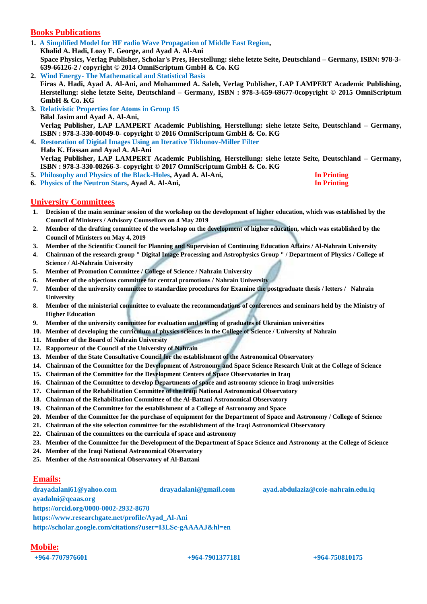# **Books Publications**

- **1. A Simplified Model for HF radio Wave Propagation of Middle East Region, Khalid A. Hadi, Loay E. George, and Ayad A. Al-Ani Space Physics, Verlag Publisher, Scholar's Pres, Herstellung: siehe letzte Seite, Deutschland – Germany, ISBN: 978-3- 639-66126-2 / copyright © 2014 OmniScriptum GmbH & Co. KG**
- **2. Wind Energy- The Mathematical and Statistical Basis Firas A. Hadi, Ayad A. Al-Ani, and Mohammed A. Saleh, Verlag Publisher, LAP LAMPERT Academic Publishing, Herstellung: siehe letzte Seite, Deutschland – Germany, ISBN : 978-3-659-69677-0copyright © 2015 OmniScriptum GmbH & Co. KG**
- **3. Relativistic Properties for Atoms in Group 15 Bilal Jasim and Ayad A. Al-Ani, Verlag Publisher, LAP LAMPERT Academic Publishing, Herstellung: siehe letzte Seite, Deutschland – Germany, ISBN : 978-3-330-00049-0- copyright © 2016 OmniScriptum GmbH & Co. KG**
- **4. Restoration of Digital Images Using an Iterative Tikhonov-Miller Filter Hala K. Hassan and Ayad A. Al-Ani Verlag Publisher, LAP LAMPERT Academic Publishing, Herstellung: siehe letzte Seite, Deutschland – Germany, ISBN : 978-3-330-08266-3- copyright © 2017 OmniScriptum GmbH & Co. KG**
- **5. Philosophy and Physics of the Black-Holes, Ayad A. Al-Ani, In Printing 6. Physics of the Neutron Stars, Ayad A. Al-Ani, In Printing**
- 

## **University Committees**

- **1. Decision of the main seminar session of the workshop on the development of higher education, which was established by the Council of Ministers / Advisory Counsellors on 4 May 2019**
- **2. Member of the drafting committee of the workshop on the development of higher education, which was established by the Council of Ministers on May 4, 2019**
- **3. Member of the Scientific Council for Planning and Supervision of Continuing Education Affairs / Al-Nahrain University**
- **4. Chairman of the research group " Digital Image Processing and Astrophysics Group " / Department of Physics / College of Science / Al-Nahrain University**
- **5. Member of Promotion Committee / College of Science / Nahrain University**
- **6. Member of the objections committee for central promotions / Nahrain University**
- **7. Member of the university committee to standardize procedures for Examine the postgraduate thesis / letters / Nahrain University**
- **8. Member of the ministerial committee to evaluate the recommendations of conferences and seminars held by the Ministry of Higher Education**
- **9. Member of the university committee for evaluation and testing of graduates of Ukrainian universities**
- **10. Member of developing the curriculum of physics sciences in the College of Science / University of Nahrain**
- **11. Member of the Board of Nahrain University**
- **12. Rapporteur of the Council of the University of Nahrain**
- **13. Member of the State Consultative Council for the establishment of the Astronomical Observatory**
- **14. Chairman of the Committee for the Development of Astronomy and Space Science Research Unit at the College of Science**
- **15. Chairman of the Committee for the Development Centers of Space Observatories in Iraq**
- **16. Chairman of the Committee to develop Departments of space and astronomy science in Iraqi universities**
- **17. Chairman of the Rehabilitation Committee of the Iraqi National Astronomical Observatory**
- **18. Chairman of the Rehabilitation Committee of the Al-Battani Astronomical Observatory**
- **19. Chairman of the Committee for the establishment of a College of Astronomy and Space**
- **20. Member of the Committee for the purchase of equipment for the Department of Space and Astronomy / College of Science**
- **21. Chairman of the site selection committee for the establishment of the Iraqi Astronomical Observatory**
- **22. Chairman of the committees on the curricula of space and astronomy**
- **23. Member of the Committee for the Development of the Department of Space Science and Astronomy at the College of Science**
- **24. Member of the Iraqi National Astronomical Observatory**
- **25. Member of the Astronomical Observatory of Al-Battani**

# **Emails:**

**[drayadalani61@yahoo.com](mailto:drayadalani61@yahoo.com) [drayadalani@gmail.com](mailto:drayadalani@gmail.com) [ayad.abdulaziz@coie-nahrain.edu.iq](mailto:ayad.abdulaziz@coie-nahrain.edu.iq) ayadalni@qeaas.org <https://orcid.org/0000-0002-2932-8670> [https://www.researchgate.net/profile/Ayad\\_Al-Ani](https://www.researchgate.net/profile/Ayad_Al-Ani) <http://scholar.google.com/citations?user=I3LSc-gAAAAJ&hl=en>**

# **Mobile:**

**+964-7707976601 +964-7901377181 +964-750810175**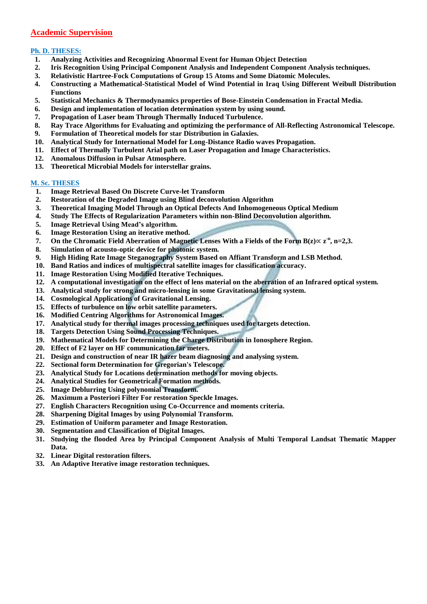# **Academic Supervision**

## **Ph. D. THESES:**

- **1. Analyzing Activities and Recognizing Abnormal Event for Human Object Detection**
- **2. Iris Recognition Using Principal Component Analysis and Independent Component Analysis techniques.**
- **3. Relativistic Hartree-Fock Computations of Group 15 Atoms and Some Diatomic Molecules.**
- **4. Constructing a Mathematical-Statistical Model of Wind Potential in Iraq Using Different Weibull Distribution Functions**
- **5. Statistical Mechanics & Thermodynamics properties of Bose-Einstein Condensation in Fractal Media.**
- **6. Design and implementation of location determination system by using sound.**
- **7. Propagation of Laser beam Through Thermally Induced Turbulence.**
- **8. Ray Trace Algorithms for Evaluating and optimizing the performance of All-Reflecting Astronomical Telescope.**
- **9. Formulation of Theoretical models for star Distribution in Galaxies.**
- **10. Analytical Study for International Model for Long-Distance Radio waves Propagation.**
- **11. Effect of Thermally Turbulent Arial path on Laser Propagation and Image Characteristics.**
- **12. Anomalous Diffusion in Pulsar Atmosphere.**
- **13. Theoretical Microbial Models for interstellar grains.**

### **M. Sc. THESES**

- **1. Image Retrieval Based On Discrete Curve-let Transform**
- **2. Restoration of the Degraded Image using Blind deconvolution Algorithm**
- **3. Theoretical Imaging Model Through an Optical Defects And Inhomogeneous Optical Medium**
- **4. Study The Effects of Regularization Parameters within non-Blind Deconvolution algorithm.**
- **5. Image Retrieval Using Mead's algorithm.**
- **6. Image Restoration Using an iterative method.**
- **7.** On the Chromatic Field Aberration of Magnetic Lenses With a Fields of the Form  $B(z) \propto z^{-n}$ , n=2,3.
- **8. Simulation of acousto-optic device for photonic system.**
- **9. High Hiding Rate Image Steganography System Based on Affiant Transform and LSB Method.**
- **10. Band Ratios and indices of multispectral satellite images for classification accuracy.**
- **11. Image Restoration Using Modified Iterative Techniques.**
- **12. A computational investigation on the effect of lens material on the aberration of an Infrared optical system.**
- **13. Analytical study for strong and micro-lensing in some Gravitational lensing system.**
- **14. Cosmological Applications of Gravitational Lensing.**
- **15. Effects of turbulence on low orbit satellite parameters.**
- **16. Modified Centring Algorithms for Astronomical Images.**
- **17. Analytical study for thermal images processing techniques used for targets detection.**
- **18. Targets Detection Using Sound Processing Techniques.**
- **19. Mathematical Models for Determining the Charge Distribution in Ionosphere Region.**
- **20. Effect of F2 layer on HF communication far meters.**
- **21. Design and construction of near IR hazer beam diagnosing and analysing system.**
- **22. Sectional form Determination for Gregorian's Telescope.**
- **23. Analytical Study for Locations determination methods for moving objects.**
- **24. Analytical Studies for Geometrical Formation methods.**
- **25. Image Deblurring Using polynomial Transform.**
- **26. Maximum a Posteriori Filter For restoration Speckle Images.**
- **27. English Characters Recognition using Co-Occurrence and moments criteria.**
- **28. Sharpening Digital Images by using Polynomial Transform.**
- **29. Estimation of Uniform parameter and Image Restoration.**
- **30. Segmentation and Classification of Digital Images.**
- **31. Studying the flooded Area by Principal Component Analysis of Multi Temporal Landsat Thematic Mapper Data.**
- **32. Linear Digital restoration filters.**
- **33. An Adaptive Iterative image restoration techniques.**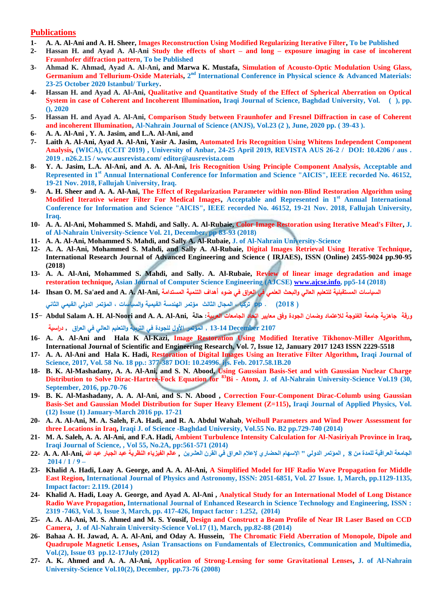### **Publications**

- **1- A. A. Al-Ani and A. H. Sheer, Images Reconstruction Using Modified Regularizing Iterative Filter, To be Published**
- **2- Hassan H. and Ayad A. Al-Ani Study the effects of short – and long – exposure imaging in case of incoherent Fraunhofer diffraction pattern, To be Published**
- **3- Ahmad K. Ahmad, Ayad A. Al-Ani, and Marwa K. Mustafa, Simulation of Acousto-Optic Modulation Using Glass,**  Germanium and Tellurium-Oxide Materials, 2<sup>nd</sup> International Conference in Physical science & Advanced Materials: **23-25 October 2020 Istanbul/ Turkey.**
- **4- Hassan H. and Ayad A. Al-Ani, Qualitative and Quantitative Study of the Effect of Spherical Aberration on Optical System in case of Coherent and Incoherent Illumination, Iraqi Journal of Science, Baghdad University, Vol. (a), pp. (), 2020**
- **5- Hassan H. and Ayad A. Al-Ani, Comparison Study between Fraunhofer and Fresnel Diffraction in case of Coherent and incoherent Illumination, Al-Nahrain Journal of Science (ANJS), Vol.23 (2 ), June, 2020 pp. ( 39-43 ).**
- **6- A. A. Al-Ani , Y. A. Jasim, and L.A. Al-Ani, and**
- **7- Laith A. Al-Ani, Ayad A. Al-Ani, Yasir A. Jasim, Automated Iris Recognition Using Whitens Independent Component Analysis, (WICA), (CCIT 2019) , University of Anbar, 24-25 April 2019, REVISTA AUS 26-2 / DOI: 10.4206 / aus . 2019 . n26.2.15 [/ www.ausrevista.com/](http://www.ausrevista.com/) editor@ausrevista.com**
- **8- Y. A. Jasim, L.A. Al-Ani, and A. A. Al-Ani, Iris Recognition Using Principle Component Analysis, Acceptable and Represented in 1st Annual International Conference for Information and Science "AICIS", IEEE recorded No. 46152, 19-21 Nov. 2018, Fallujah University, Iraq.**
- **9- A. H. Sheer and A. A. Al-Ani, The Effect of Regularization Parameter within non-Blind Restoration Algorithm using Modified Iterative wiener Filter For Medical Images, Acceptable and Represented in 1st Annual International Conference for Information and Science "AICIS", IEEE recorded No. 46152, 19-21 Nov. 2018, Fallujah University, Iraq.**
- **10- A. A. Al-Ani, Mohammed S. Mahdi, and Sally. A. Al-Rubaie, Color Image Restoration using Iterative Mead's Filter, J. of Al-Nahrain University-Science Vol. 21, December, pp 83-93 (2018)**
- **11- A. A. Al-Ani, Mohammed S. Mahdi, and Sally A. Al-Rubaie, J. of Al-Nahrain University-Science**
- **12- A. A. Al-Ani, Mohammed S. Mahdi, and Sally A. Al-Rubaie, Digital Images Retrieval Using Iterative Technique, International Research Journal of Advanced Engineering and Science ( IRJAES), ISSN (Online) 2455-9024 pp.90-95 (2018)**
- **13- A. A. Al-Ani, Mohammed S. Mahdi, and Sally. A. Al-Rubaie, Review of linear image degradation and image restoration technique, Asian Journal of Computer Science Engineering (AJCSE) [www.ajcse.info,](http://www.ajcse.info/) pp5-14 (2018)**
- **السياسات المستقبلية للتعليم العالي والبحث العلمي في العراق في ضوء أهداف التنمية المستدامة ,Ani-Al .A .A and aed'Sa .M .O Ihsan 14- ) 2018( . pp تركيا ، المجال الثالث مؤتمر الهندسة القيمية والسياسات ، المؤتمر الدولي القيمي الثاني**
- **ورقة جاهزية جامعة الفلوجة لالعتماد وضمان الجودة وفق معايير اتحاد الجامعات العربية: حالة ,Ani-Al .A .A and Noori-Al .H .A Salam Abdul 15- 2107 December 13-14 , المؤتمر األول للجودة في التربية والتعليم العالي في العراق , دراسية**
- **16- A. A. Al-Ani and Hala K Al-Kazi, Image Restoration Using Modified Iterative Tikhonov-Miller Algorithm, International Journal of Scientific and Engineering Research, Vol. 7, Issue 12, January 2017 1243 ISSN 2229-5518**
- **17- A. A. Al-Ani and Hala K. Hadi, Restoration of Digital Images Using an Iterative Filter Algorithm, Iraqi Journal of Science, 2017, Vol. 58 No. 18 pp.: 377-387 DOI: 10.24996. ijs. Feb. 2017.58.1B.20**
- **18- B. K. Al-Mashadany, A. A. Al-Ani, and S. N. Abood, Using Gaussian Basis-Set and with Gaussian Nuclear Charge Distribution to Solve Dirac-Hartree-Fock Equation for <sup>83</sup>Bi - Atom, J. of Al-Nahrain University-Science Vol.19 (30, September, 2016, pp.70-76**
- **19- B. K. Al-Mashadany, A. A. Al-Ani, and S. N. Abood , Correction Four-Component Dirac-Columb using Gaussian Basis-Set and Gaussian Model Distribution for Super Heavy Element (Z=115), Iraqi Journal of Applied Physics, Vol. (12) Issue (1) January-March 2016 pp. 17-21**
- **20- A. A. Al-Ani, M. A. Saleh, F.A. Hadi, and R. A. Abdul Wahab, Weibull Parameters and Wind Power Assessment for three Locations in Iraq, Iraqi J. of Science -Baghdad University, Vol.55 No. B2 pp.729-740 (2014)**
- **21- M. A. Saleh, A. A. Al-Ani, and F.A. Hadi, Ambient Turbulence Intensity Calculation for Al-Nasiriyah Province in Iraq, Iraqi Journal of Science, , Vol 55, No.2A, pp:561-571 (2014)**
- **الجامعة العراقية للمدة من 8 , المؤتمر الدولي " اإلسهام الحضاري إلعالم العراق في القرن العشرين , عالم الفيزياء النظرية عبد الجبار عبد هللا ,Ani-Al .A .A 22- 2014 / 1 / 9 –**
- **23- Khalid A. Hadi, Loay A. George, and A. A. Al-Ani, A Simplified Model for HF Radio Wave Propagation for Middle East Region, International Journal of Physics and Astronomy, ISSN: 2051-6851, Vol. 27 Issue. 1, March, pp.1129-1135, Impact factor: 2.119. (2014 )**
- **24- Khalid A. Hadi, Loay A. George, and Ayad A. Al-Ani , Analytical Study for an International Model of Long Distance Radio Wave Propagation, International Journal of Enhanced Research in Science Technology and Engineering, ISSN : 2319 -7463, Vol. 3, Issue 3, March, pp. 417-426, Impact factor : 1.252, (2014)**
- **25- A. A. Al-Ani, M. S. Ahmed and M. S. Yousif, Design and Construct a Beam Profile of Near IR Laser Based on CCD Camera, J. of Al-Nahrain University-Science Vol.17 (1), March, pp.82-88 (2014)**
- **26- Bahaa A. H. Jawad, A. A. Al-Ani, and Oday A. Hussein, The Chromatic Field Aberration of Monopole, Dipole and Quadrupole Magnetic Lenses, Asian Transactions on Fundamentals of Electronics, Communication and Multimedia, Vol.(2), Issue 03 pp.12-17July (2012)**
- **27- A. K. Ahmed and A. A. Al-Ani, Application of Strong-Lensing for some Gravitational Lenses, J. of Al-Nahrain University-Science Vol.10(2), December, pp.73-76 (2008)**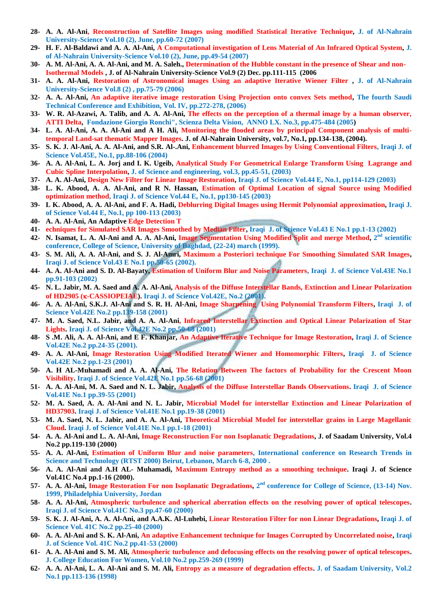- **28- A. A. Al-Ani, Reconstruction of Satellite Images using modified Statistical Iterative Technique, J. of Al-Nahrain University-Science Vol.10 (2), June, pp.60-72 (2007)**
- **29- H. F. Al-Baldawi and A. A. Al-Ani, A Computational investigation of Lens Material of An Infrared Optical System, J. of Al-Nahrain University-Science Vol.10 (2), June, pp.49-54 (2007)**
- **30- A. M. Al-Ani, A. A. Al-Ani, and M. A. Saleh., Determination of the Hubble constant in the presence of Shear and non-Isothermal Models , J. of Al-Nahrain University-Science Vol.9 (2) Dec. pp.111-115 (2006**
- **31- A. A. Al-Ani, Restoration of Astronomical images Using an adaptive Iterative Wiener Filter , J. of Al-Nahrain University-Science Vol.8 (2) , pp.75-79 (2006)**
- **32- A. A. Al-Ani, An adaptive iterative image restoration Using Projection onto convex Sets method, The fourth Saudi Technical Conference and Exhibition, Vol. IV, pp.272-278, (2006)**
- **33- W. R. Al-Azawi, A. Talib, and A. A. Al-Ani, The effects on the perception of a thermal image by a human observer, ATTI Delta, Fondazione Giorgio Ronchi", Scienza Delta Vision, ANNO LX. No.3, pp.475-484 (2005)**
- **34- L. A. Al-Ani, A. A. Al-Ani and A H. Ali, Monitoring the flooded areas by principal Component analysis of multitemporal Land-sat thematic Mapper Images. J. of Al-Nahrain University, vol.7, No.1, pp.134-138, (2004).**
- **35- S. K. J. Al-Ani, A. A. Al-Ani, and S.R. Al-.Ani, Enhancement blurred Images by Using Conventional Filters, Iraqi J. of Science Vol.45E, No.1, pp.88-106 (2004)**
- **36- A. A. Al-Ani, L. A. Jorj and I. K. Ugeib, Analytical Study For Geometrical Enlarge Transform Using Lagrange and Cubic Spline Interpolation, J. of Science and engineering, vol.3, pp.45-51, (2003)**
- **37- A. A. Al-Ani, Design New Filter for Linear Image Restoration, Iraqi J. of Science Vol.44 E, No.1, pp114-129 (2003)**
- **38- L. K. Abood, A. A. Al-Ani, and R N. Hassan, Estimation of Optimal Location of signal Source using Modified optimization method, Iraqi J. of Science Vol.44 E, No.1, pp130-145 (2003)**
- **39- L K. Abood, A. A. Al-Ani, and F. A. Hadi, Deblurring Digital Images using Hermit Polynomial approximation, Iraqi J. of Science Vol.44 E, No.1, pp 100-113 (2003)**
- **40- A. A. Al-Ani, An Adaptive Edge Detection T**
- **41- echniques for Simulated SAR Images Smoothed by Median Filter, Iraqi J. of Science Vol.43 E No.1 pp.1-13 (2002)**
- **42- N. Isamat, L. A. Al-Ani and A. A. Al-Ani, Image Segmentation Using Modified Split and merge Method, 2 nd scientific conference, College of Science, University of Baghdad, (22-24) march (1999).**
- **43- S. M. Ali, A. A. Al-Ani, and S. J. Al-Amri, Maximum a Posteriori technique For Smoothing Simulated SAR Images, Iraqi J. of Science Vol.43 E No.1 pp.50-65 (2002).**
- **44- A. A. Al-Ani and S. D. Al-Bayaty, Estimation of Uniform Blur and Noise Parameters, Iraqi J. of Science Vol.43E No.1 pp.91-103 (2002)**
- **45- N. L. Jabir, M. A. Saed and A. A. Al-Ani, Analysis of the Diffuse Interstellar Bands, Extinction and Linear Polarization of HD2905 (-CASSIOPEIAE). Iraqi J. of Science Vol.42E, No.2 (2001).**
- **46- A. A. Al-Ani, S.K.J. Al-Ani and S. R. H. Al-Ani, Image Sharpening Using Polynomial Transform Filters, Iraqi J. of Science Vol.42E No.2 pp.139-158 (2001)**
- **47- M. A. Saed, N.L. Jabir, and A. A. Al-Ani, Infrared Interstellar Extinction and Optical Linear Polarization of Star Lights. Iraqi J. of Science Vol.42E No.2 pp.50-68 (2001)**
- **48- S .M. Ali, A. A. Al-Ani, and E F. Khanjar, An Adaptive Iterative Technique for Image Restoration, Iraqi J. of Science Vol.42E No.2 pp.24-35 (2001).**
- **49- A. A. Al-Ani, Image Restoration Using Modified Iterated Wiener and Homomorphic Filters, Iraqi J. of Science Vol.42E No.2 pp.1-23 (2001)**
- **50- A. H AL-Muhamadi and A. A. Al-Ani, The Relation Between The factors of Probability for the Crescent Moon Visibility. Iraqi J. of Science Vol.42E No.1 pp.56-68 (2001)**
- **51- A. A. Al-Ani, M. A. Saed and N. L. Jabir, Analysis of the Diffuse Interstellar Bands Observations. Iraqi J. of Science Vol.41E No.1 pp.39-55 (2001)**
- **52- M. A. Saed, A. A. Al-Ani and N. L. Jabir, Microbial Model for interstellar Extinction and Linear Polarization of HD37903. Iraqi J. of Science Vol.41E No.1 pp.19-38 (2001)**
- **53- M. A. Saed, N. L. Jabir, and A. A. Al-Ani, Theoretical Microbial Model for interstellar grains in Large Magellanic Cloud. Iraqi J. of Science Vol.41E No.1 pp.1-18 (2001)**
- **54- A. A. Al-Ani and L. A. Al-Ani, Image Reconstruction For non Isoplanatic Degradations, J. of Saadam University, Vol.4 No.2 pp.119-130 (2000)**
- **55- A. A. Al-Ani, Estimation of Uniform Blur and noise parameters, International conference on Research Trends in Science and Technology (RTST 2000) Beirut, Lebanon, March 6-8, 2000 .**
- **56- A. A. Al-Ani and A.H AL- Muhamadi, Maximum Entropy method as a smoothing technique. Iraqi J. of Science Vol.41C No.4 pp.1-16 (2000).**
- 57- A. A. Al-Ani, Image Restoration For non Isoplanatic Degradations, 2<sup>nd</sup> conference for College of Science, (13-14) Nov. **1999, Philadelphia University, Jordan**
- **58- A. A. Al-Ani, Atmospheric turbulence and spherical aberration effects on the resolving power of optical telescopes. Iraqi J. of Science Vol.41C No.3 pp.47-60 (2000)**
- **59- S. K. J. Al-Ani, A. A. Al-Ani, and A.A.K. Al-Luhebi, Linear Restoration Filter for non Linear Degradations, Iraqi J. of Science Vol. 41C No.2 pp.25-40 (2000)**
- **60- A. A. Al-Ani and S. K. Al-Ani, An adaptive Enhancement technique for Images Corrupted by Uncorrelated noise, Iraqi J. of Science Vol. 41C No.2 pp.41-53 (2000)**
- **61- A. A. Al-Ani and S. M. Ali, Atmospheric turbulence and defocusing effects on the resolving power of optical telescopes. J. College Education For Women, Vol.10 No.2 pp.259-269 (1999)**
- **62- A. A. Al-Ani, L. A. Al-Ani and S. M. Ali, Entropy as a measure of degradation effects. J. of Saadam University, Vol.2 No.1 pp.113-136 (1998)**